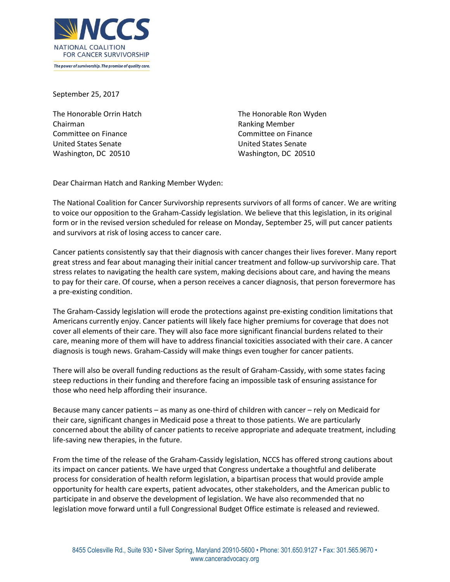

September 25, 2017

The Honorable Orrin Hatch Chairman Committee on Finance United States Senate Washington, DC 20510

The Honorable Ron Wyden Ranking Member Committee on Finance United States Senate Washington, DC 20510

Dear Chairman Hatch and Ranking Member Wyden:

The National Coalition for Cancer Survivorship represents survivors of all forms of cancer. We are writing to voice our opposition to the Graham-Cassidy legislation. We believe that this legislation, in its original form or in the revised version scheduled for release on Monday, September 25, will put cancer patients and survivors at risk of losing access to cancer care.

Cancer patients consistently say that their diagnosis with cancer changes their lives forever. Many report great stress and fear about managing their initial cancer treatment and follow-up survivorship care. That stress relates to navigating the health care system, making decisions about care, and having the means to pay for their care. Of course, when a person receives a cancer diagnosis, that person forevermore has a pre-existing condition.

The Graham-Cassidy legislation will erode the protections against pre-existing condition limitations that Americans currently enjoy. Cancer patients will likely face higher premiums for coverage that does not cover all elements of their care. They will also face more significant financial burdens related to their care, meaning more of them will have to address financial toxicities associated with their care. A cancer diagnosis is tough news. Graham-Cassidy will make things even tougher for cancer patients.

There will also be overall funding reductions as the result of Graham-Cassidy, with some states facing steep reductions in their funding and therefore facing an impossible task of ensuring assistance for those who need help affording their insurance.

Because many cancer patients – as many as one-third of children with cancer – rely on Medicaid for their care, significant changes in Medicaid pose a threat to those patients. We are particularly concerned about the ability of cancer patients to receive appropriate and adequate treatment, including life-saving new therapies, in the future.

From the time of the release of the Graham-Cassidy legislation, NCCS has offered strong cautions about its impact on cancer patients. We have urged that Congress undertake a thoughtful and deliberate process for consideration of health reform legislation, a bipartisan process that would provide ample opportunity for health care experts, patient advocates, other stakeholders, and the American public to participate in and observe the development of legislation. We have also recommended that no legislation move forward until a full Congressional Budget Office estimate is released and reviewed.